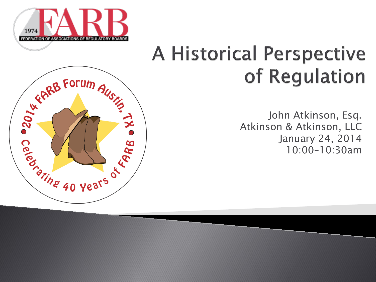

## **A Historical Perspective** of Regulation

John Atkinson, Esq. Atkinson & Atkinson, LLC January 24, 2014 10:00–10:30am

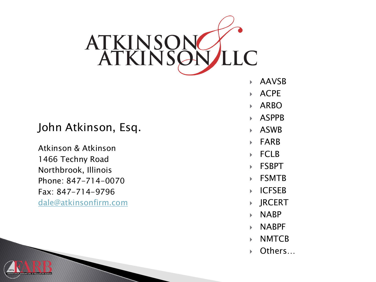

#### John Atkinson, Esq.

Atkinson & Atkinson 1466 Techny Road Northbrook, Illinois Phone: 847 -714 -0070 Fax: 847 -714 -9796 [dale@atkinsonfirm.com](mailto:dale@atkinsonfirm.com)

- AAVSB
- ACPE
- ARBO
- ASPPB
- ASWB
- FARB
- FCLB
- FSBPT
- FSMTB
- ICFSEB
- JRCERT
- NABP
- NABPF
- **NMTCB**
- Others…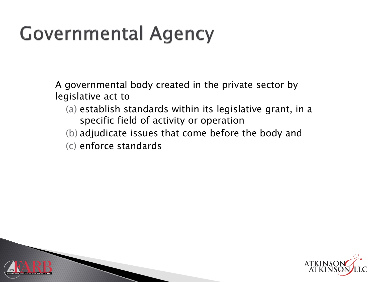### **Governmental Agency**

A governmental body created in the private sector by legislative act to

- (a) establish standards within its legislative grant, in a specific field of activity or operation
- (b) adjudicate issues that come before the body and
- (c) enforce standards

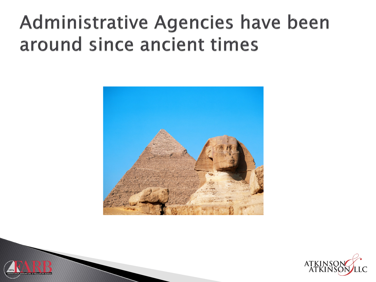#### Administrative Agencies have been around since ancient times





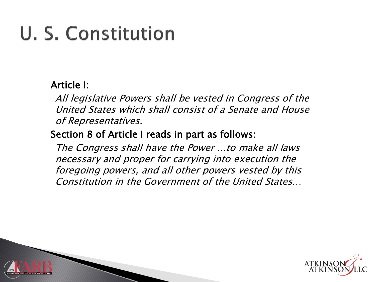## U. S. Constitution

#### Article I:

All legislative Powers shall be vested in Congress of the United States which shall consist of a Senate and House of Representatives.

#### Section 8 of Article I reads in part as follows:

The Congress shall have the Power ...to make all laws necessary and proper for carrying into execution the foregoing powers, and all other powers vested by this Constitution in the Government of the United States…

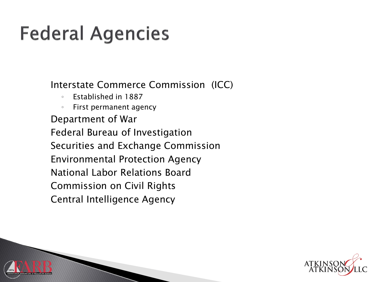## **Federal Agencies**

Interstate Commerce Commission (ICC)

◦ Established in 1887

◦ First permanent agency Department of War Federal Bureau of Investigation Securities and Exchange Commission Environmental Protection Agency National Labor Relations Board Commission on Civil Rights Central Intelligence Agency

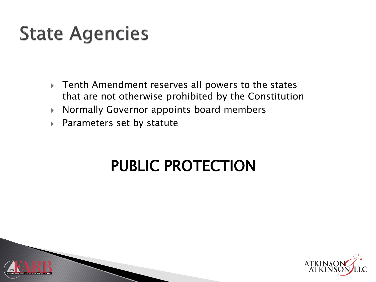### **State Agencies**

- Tenth Amendment reserves all powers to the states that are not otherwise prohibited by the Constitution
- Normally Governor appoints board members
- Parameters set by statute

#### PUBLIC PROTECTION



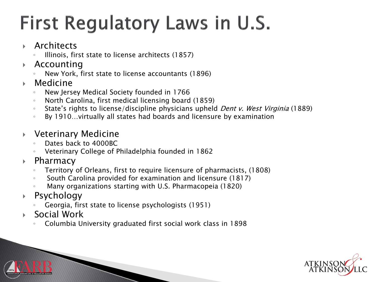# First Regulatory Laws in U.S.

#### **Architects**

- Illinois, first state to license architects (1857)
- Accounting
	- New York, first state to license accountants (1896)
- Medicine
	- New Jersey Medical Society founded in 1766
	- North Carolina, first medical licensing board (1859)
	- State's rights to license/discipline physicians upheld Dent v. West Virginia (1889)
	- By 1910…virtually all states had boards and licensure by examination

#### Veterinary Medicine

- Dates back to 4000BC
- Veterinary College of Philadelphia founded in 1862
- $\triangleright$  Pharmacy
	- Territory of Orleans, first to require licensure of pharmacists, (1808)
	- South Carolina provided for examination and licensure (1817)
	- Many organizations starting with U.S. Pharmacopeia (1820)
- Psychology
	- Georgia, first state to license psychologists (1951)
- Social Work
	- Columbia University graduated first social work class in 1898

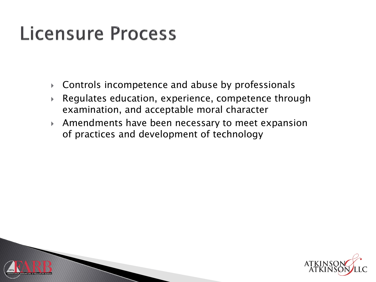#### Licensure Process

- Controls incompetence and abuse by professionals
- Regulates education, experience, competence through examination, and acceptable moral character
- Amendments have been necessary to meet expansion of practices and development of technology

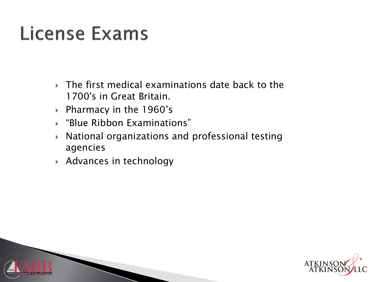#### License Exams

- $\triangleright$  The first medical examinations date back to the 1700's in Great Britain.
- ▶ Pharmacy in the 1960's
- "Blue Ribbon Examinations"
- National organizations and professional testing agencies
- Advances in technology